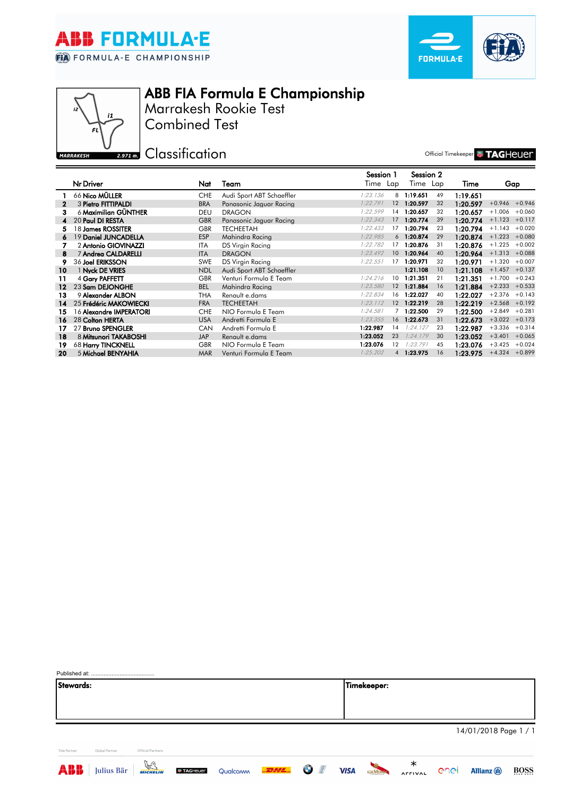

 $\overrightarrow{z}$ 

**MARRAKESH** 

 $\mathbf{11}$ 





Combined Test Marrakesh Rookie Test

**Classification** 

Official Timekeeper **WITAGHEUER** 

|    |                                |            |                           | Session 1 |                   | Session 2 |    |          |                  |                  |
|----|--------------------------------|------------|---------------------------|-----------|-------------------|-----------|----|----------|------------------|------------------|
|    | Nr Driver                      | Nat        | Team                      | Time Lap  |                   | Time Lap  |    | Time     |                  | Gap              |
|    | 66 Nico MÜLLER                 | <b>CHE</b> | Audi Sport ABT Schaeffler | 1:23.136  | 8                 | 1:19.651  | 49 | 1:19.651 |                  |                  |
| 2  | 3 Pietro FITTIPALDI            | <b>BRA</b> | Panasonic Jaguar Racina   | 1:22.791  | 12                | 1:20.597  | 32 | 1:20.597 |                  | $+0.946 + 0.946$ |
| з  | 6 Maximilian GÜNTHER           | <b>DEU</b> | <b>DRAGON</b>             | 1:22.599  | 14                | 1:20.657  | 32 | 1:20.657 | $+1.006$         | $+0.060$         |
| 4  | 20 Paul DI RESTA               | <b>GBR</b> | Panasonic Jaguar Racina   | 1:22.343  | 17                | 1:20.774  | 39 | 1:20.774 | $+1.123$         | $+0.117$         |
| 5  | 18 James ROSSITER              | <b>GBR</b> | <b>TECHEETAH</b>          | 1:22.433  | 17                | 1:20.794  | 23 | 1:20.794 | $+1.143$         | $+0.020$         |
| 6  | 19 Daniel JUNCADELLA           | <b>ESP</b> | Mahindra Racing           | 1:22.985  | 6                 | 1:20.874  | 29 | 1:20.874 | $+1.223$         | $+0.080$         |
|    | 2 Antonio GIOVINAZZI           | <b>ITA</b> | DS Virgin Racing          | 1:22.782  | 17                | 1:20.876  | 31 | 1:20.876 | $+1.225$         | $+0.002$         |
| 8  | 7 Andrea CALDARELLI            | <b>ITA</b> | <b>DRAGON</b>             | 1:23.492  | 10 <sup>°</sup>   | 1:20.964  | 40 | 1:20.964 | $+1.313 + 0.088$ |                  |
| 9  | 36 Joel ERIKSSON               | <b>SWE</b> | DS Virgin Racing          | 1:22.551  | 17                | 1:20.971  | 32 | 1:20.971 | $+1.320$         | $+0.007$         |
| 10 | 1 Nyck DE VRIES                | <b>NDL</b> | Audi Sport ABT Schaeffler |           |                   | 1:21.108  | 10 | 1:21.108 | $+1.457$         | $+0.137$         |
| 11 | 4 Gary PAFFETT                 | <b>GBR</b> | Venturi Formula E Team    | 1:24.216  | 10 <sup>°</sup>   | 1:21.351  | 21 | 1:21.351 | $+1.700$         | $+0.243$         |
| 12 | 23 Sam DEJONGHE                | <b>BEL</b> | Mahindra Racing           | 1:23.580  | 12                | 1:21.884  | 16 | 1:21.884 | $+2.233$         | $+0.533$         |
| 13 | 9 Alexander ALBON              | THA        | Renault e.dams            | 1:22.834  | 16                | 1:22.027  | 40 | 1:22.027 | $+2.376$         | $+0.143$         |
| 14 | 25 Frédéric MAKOWIECKI         | <b>FRA</b> | <b>TECHEETAH</b>          | 1:23.112  | 12 <sup>2</sup>   | 1:22.219  | 28 | 1:22.219 | $+2.568 +0.192$  |                  |
| 15 | 16 <b>Alexandre IMPERATORI</b> | <b>CHE</b> | NIO Formula E Team        | 1:24.581  |                   | 1:22.500  | 29 | 1:22.500 | $+2.849$         | $+0.281$         |
| 16 | 28 Colton HERTA                | <b>USA</b> | Andretti Formula E        | 1:23.355  | 16                | 1:22.673  | 31 | 1:22.673 | $+3.022$         | $+0.173$         |
| 17 | 27 Bruno SPENGLER              | <b>CAN</b> | Andretti Formula E        | 1:22.987  | 14                | 1:24.127  | 23 | 1:22.987 |                  | $+3.336 + 0.314$ |
| 18 | 8 Mitsunori TAKABOSHI          | <b>JAP</b> | Renault e.dams            | 1:23.052  | 23                | 1:24.179  | 30 | 1:23.052 | $+3.401$         | $+0.065$         |
| 19 | 68 Harry TINCKNELL             | <b>GBR</b> | NIO Formula E Team        | 1:23.076  | $12 \overline{ }$ | 1:23.791  | 45 | 1:23.076 | $+3.425$         | $+0.024$         |
| 20 | 5 Michael BENYAHIA             | <b>MAR</b> | Venturi Formula E Team    | 1:25.202  | $\overline{4}$    | 1:23.975  | 16 | 1:23.975 |                  | $+4.324 +0.899$  |

| Stewards:     |                |                   |  |  | Timekeeper: |                       |  |  |  |  |  |  |
|---------------|----------------|-------------------|--|--|-------------|-----------------------|--|--|--|--|--|--|
|               |                |                   |  |  |             |                       |  |  |  |  |  |  |
|               |                |                   |  |  |             |                       |  |  |  |  |  |  |
|               |                |                   |  |  |             |                       |  |  |  |  |  |  |
|               |                |                   |  |  |             | 14/01/2018 Page 1 / 1 |  |  |  |  |  |  |
|               |                |                   |  |  |             |                       |  |  |  |  |  |  |
| Title Partner | Global Partner | Official Partners |  |  |             |                       |  |  |  |  |  |  |







AFFIVAL CARL Allianz 1

**BOSS**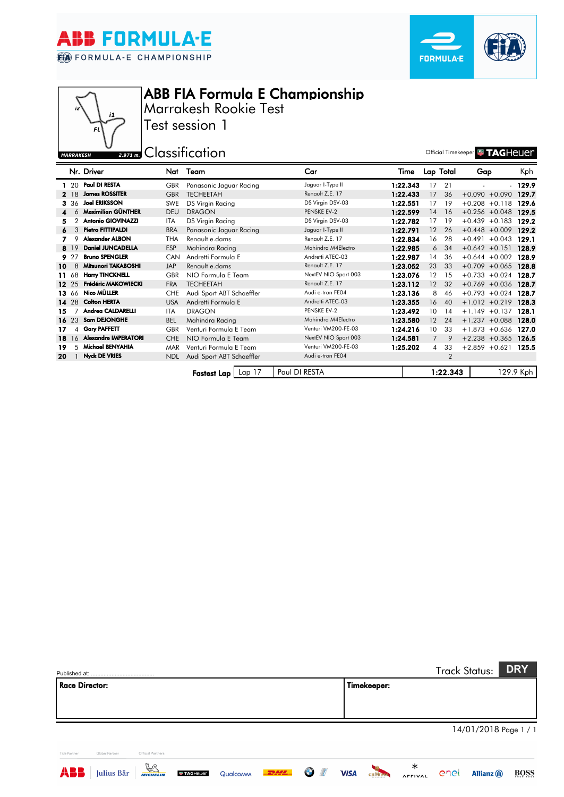





## ABB FIA Formula E Championship

Marrakesh Rookie Test Test session 1

## **U** 2.971 m. Classification **Contains a Contain Contains 2.971 m.** Classification MARRAKESH

|     |          | Nr. Driver                  | Nat        | Team                      | Car                  | Time     |                | Lap Total      | Gap                  | Kph       |
|-----|----------|-----------------------------|------------|---------------------------|----------------------|----------|----------------|----------------|----------------------|-----------|
|     | -20      | Paul DI RESTA               | <b>GBR</b> | Panasonic Jaguar Racing   | Jaguar I-Type II     | 1:22.343 | 17             | 21             |                      | $-129.9$  |
|     | 2 18     | <b>James ROSSITER</b>       | <b>GBR</b> | <b>TECHEETAH</b>          | Renault Z.E. 17      | 1:22.433 | 17             | 36             | $+0.090 + 0.090$     | 129.7     |
|     | 3 36     | <b>Joel ERIKSSON</b>        | SWE        | DS Virgin Racing          | DS Virgin DSV-03     | 1:22.551 | 17             | 19             | $+0.208 + 0.118$     | 129.6     |
|     | 6        | Maximilian GÜNTHER          | <b>DEU</b> | <b>DRAGON</b>             | PENSKE EV-2          | 1:22.599 | 14             | 16             | $+0.256 + 0.048$     | 129.5     |
| 5.  |          | <b>Antonio GIOVINAZZI</b>   | <b>ITA</b> | DS Virgin Racing          | DS Virgin DSV-03     | 1:22.782 | 17             | 19             | $+0.439 + 0.183$     | 129.2     |
| 6   | 3        | Pietro FITTIPALDI           | <b>BRA</b> | Panasonic Jaguar Racing   | Jaguar I-Type II     | 1:22.791 | 12             | 26             | $+0.448 + 0.009$     | 129.2     |
|     |          | <b>Alexander ALBON</b>      | <b>THA</b> | Renault e.dams            | Renault Z.E. 17      | 1:22.834 | 16             | 28             | $+0.491$<br>$+0.043$ | 129.1     |
|     | 8 19     | <b>Daniel JUNCADELLA</b>    | ESP        | Mahindra Racing           | Mahindra M4Electro   | 1:22.985 | 6              | 34             | $+0.642 +0.151$      | 128.9     |
|     | 9 27     | <b>Bruno SPENGLER</b>       | <b>CAN</b> | Andretti Formula E        | Andretti ATEC-03     | 1:22.987 | 14             | 36             | $+0.644 + 0.002$     | 128.9     |
| 10  | 8        | Mitsunori TAKABOSHI         | <b>JAP</b> | Renault e.dams            | Renault Z.E. 17      | 1:23.052 | 23             | 33             | $+0.709 + 0.065$     | 128.8     |
| 11. | 68       | <b>Harry TINCKNELL</b>      | <b>GBR</b> | NIO Formula E Team        | NextEV NIO Sport 003 | 1:23.076 | $12 \,$        | 15             | $+0.733 + 0.024$     | 128.7     |
|     | $12^{2}$ | Frédéric MAKOWIECKI         | <b>FRA</b> | <b>TECHEETAH</b>          | Renault Z.E. 17      | 1:23.112 | 12             | 32             | $+0.769 + 0.036$     | 128.7     |
|     | 13 66    | Nico MÜLLER                 | <b>CHE</b> | Audi Sport ABT Schaeffler | Audi e-tron FE04     | 1:23.136 | 8              | 46             | $+0.793 +0.024$      | 128.7     |
|     | 14 28    | <b>Colton HERTA</b>         | <b>USA</b> | Andretti Formula E        | Andretti ATEC-03     | 1:23.355 | 16             | 40             | $+1.012 +0.219$      | 128.3     |
| 15. |          | Andrea CALDARELLI           | <b>ITA</b> | <b>DRAGON</b>             | PENSKE EV-2          | 1:23.492 | 10             | 14             | $+1.149 + 0.137$     | 128.1     |
|     | 1623     | <b>Sam DEJONGHE</b>         | <b>BEL</b> | Mahindra Racing           | Mahindra M4Electro   | 1:23.580 | 12             | 24             | $+1.237 +0.088$      | 128.0     |
| 17  | 4        | <b>Gary PAFFETT</b>         | <b>GBR</b> | Venturi Formula E Team    | Venturi VM200-FE-03  | 1:24.216 | 10             | 33             | $+1.873 + 0.636$     | 127.0     |
| 18  | 16       | <b>Alexandre IMPERATORI</b> | <b>CHE</b> | NIO Formula E Team        | NextEV NIO Sport 003 | 1:24.581 | $\overline{7}$ | 9              | $+2.238 + 0.365$     | 126.5     |
| 19  | 5        | Michael BENYAHIA            | <b>MAR</b> | Venturi Formula E Team    | Venturi VM200-FE-03  | 1:25.202 | $\overline{4}$ | 33             | $+2.859 + 0.621$     | 125.5     |
| 20  |          | <b>Nyck DE VRIES</b>        | <b>NDL</b> | Audi Sport ABT Schaeffler | Audi e-tron FE04     |          |                | $\overline{2}$ |                      |           |
|     |          |                             |            |                           |                      |          |                |                |                      |           |
|     |          |                             |            | Lap 17<br>Fastest Lap     | Paul DI RESTA        |          |                | 1:22.343       |                      | 129.9 Kph |

|                                                                                                                        | <b>DRY</b><br><b>Track Status:</b>                        |
|------------------------------------------------------------------------------------------------------------------------|-----------------------------------------------------------|
| <b>Race Director:</b><br>Timekeeper:                                                                                   |                                                           |
|                                                                                                                        |                                                           |
|                                                                                                                        |                                                           |
|                                                                                                                        | 14/01/2018 Page 1 / 1                                     |
| Official Partners<br><b>Title Partner</b><br>Global Partner                                                            |                                                           |
| $\frac{1}{\sqrt{2}}$<br>ABB<br>$-$ 2244 $-$<br>Julius Bär<br>O<br><b>VISA</b><br>Qualcoww<br><b>TAGHeuer</b><br>GHMUMM | ∗<br>BOSS<br><b>Allianz</b> (1)<br>enet<br><b>AFFIVAL</b> |